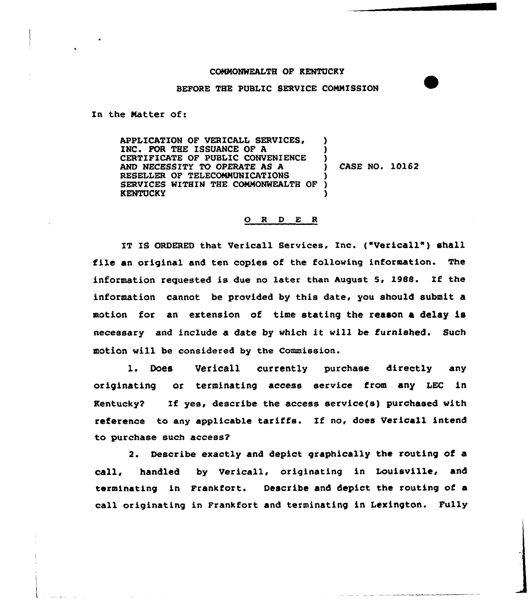## COMNONWEALTH OF KENTUCKY

## BEFORE THE PUBLIC SERVICE COMMISSION

In the Natter of:

APPLICATION OF VERICALL SERVICES, INC. FOR THE ISSUANCE OF A CERTIFICATE OF PUBLIC CONVENIENCE AND NECESSITY TO OPERATE AS A RESELLER OF TELECONNUNICATIONS SERVICES WITHIN THE COMNONWEALTH OF KENTUCKY ) ) ) ) CASE NO. 10162 ) ) )

## 0 <sup>R</sup> <sup>D</sup> E <sup>R</sup>

IT IS ORDERED that Vericall Services, Inc. {"Vericall") shall file an original and ten copies of the following information. The information requested is due no later than August 5, 1988. If the information cannot be provided by this date, you should submit a motion for an extension of time stating the reason a delay is necessary and include a date by which it will be furnished. Such motion will be considered by the Commission.

1. Does Vericall currently purchase directly any originating or terminating access service from any LEC in Kentucky? If yes, describe the access service{s) purchased with reference to any applicable tariffs. If no, does Vericall intend to purchase such access?

2. Describe exactly and depict graphically the routing of a call, handled by Vericall, originating in Louisville, and terminating in Frankfort. Describe and depict the routing of a call originating in Frankfort and terminating in Lexington. Fully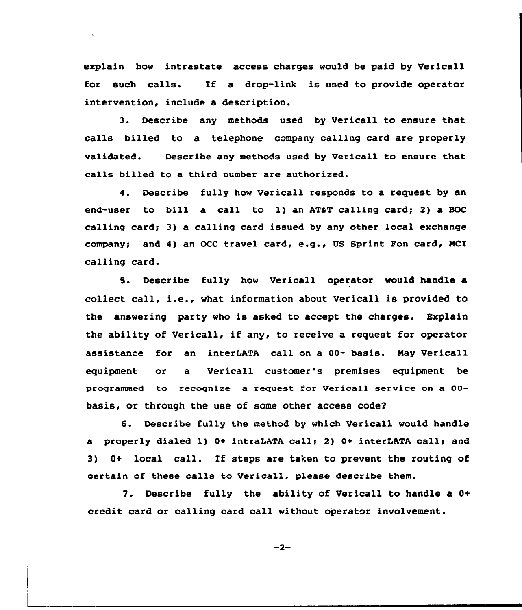explain how intrastate access charges would be paid by Verica11 for such calls. Xf a drop-link is used to provide operator intervention, include a description.

3. Describe any methods used by Vericall to ensure that calls billed to a telephone company calling card are properly validated. Describe any methods used by Vericall to ensure that calls billed to a third number are authorized.

4. Describe fully how Vericall responds to a request by an end-user to bill a call to 1) an AT&T calling card; 2) a BOC calling card; 3) a calling card issued by any other local exchange company! and 4) an OCC travel card, e.g., US Sprint Fon card, NCI calling card.

5. Describe fully how Vericall operator would handle a collect call, i.e., what information about Vericall is provided to the answering party who is asked to accept the charges. Explain the ability of Vericall, if any, to receive a request for operator assistance for an interLATA call on a 00- basis. Nay Vericall equipment or a Vericall customer's premises equipment be programmed to recognize a request for Vericall service on a 00basis, or through the use of some other access code?

6. Describe fully the method by which Vericall would handle a properly dialed 1) 0+ intraLATA call; 2) 0+ interLATA call; and 3) 0+ local call. Xf steps are taken to prevent the routing of certain of these calls to Vericall, please describe them.

7. Describe fully the ability of Vericall to handle a 0+ credit card or calling card call without operator involvement.

 $-2-$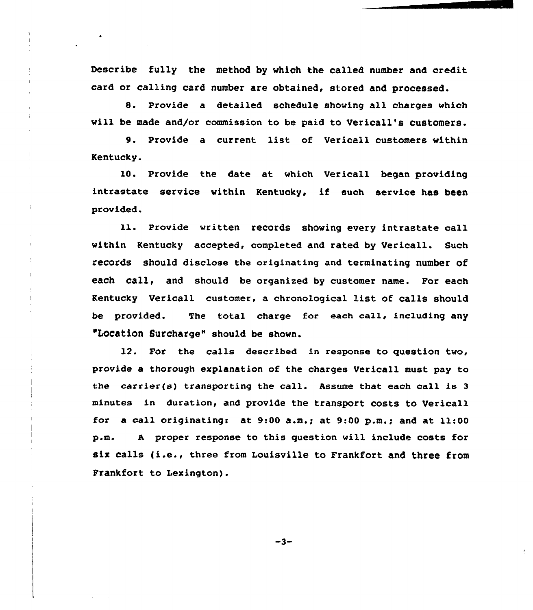Describe fully the method by which the called number and credit card or calling card number are obtained, stored and processed.

8. Provide a detailed schedule showing all charges which will be made and/or commission to be paid to Vericall's customers.

9. Provide a current list of Uericall customers within Kentucky.

 $\|$ 

10. Provide the date at which Vericall began providing intrastate service vithin Kentucky, if such service has been provided.

11. Provide written records shoving every intrastate call within Kentucky accepted, completed and rated by Vericall. Such records should disclose the originating and terminating number of each call, and should be organized by customer name. For each Kentucky Vericall customer, a chronological list. of calls should be provided. The total charge for each call, including any "LOCation Surcharge" should be shovn.

12. For the calls described in response to question tvo, provide a thorough explanation of the charges Vericall must pay to the carrier(s) transporting the call. Assume that each call is <sup>3</sup> minutes in duration, and provide the transport costs to Vericall for a call originating: at  $9:00$  a.m.; at  $9:00$  p.m.; and at  $11:00$ p.m. <sup>A</sup> proper response to this question will include costs for six calls (i.e., three from Louisville to Frankfort and three from Frankfort to Lexington).

 $-3-$